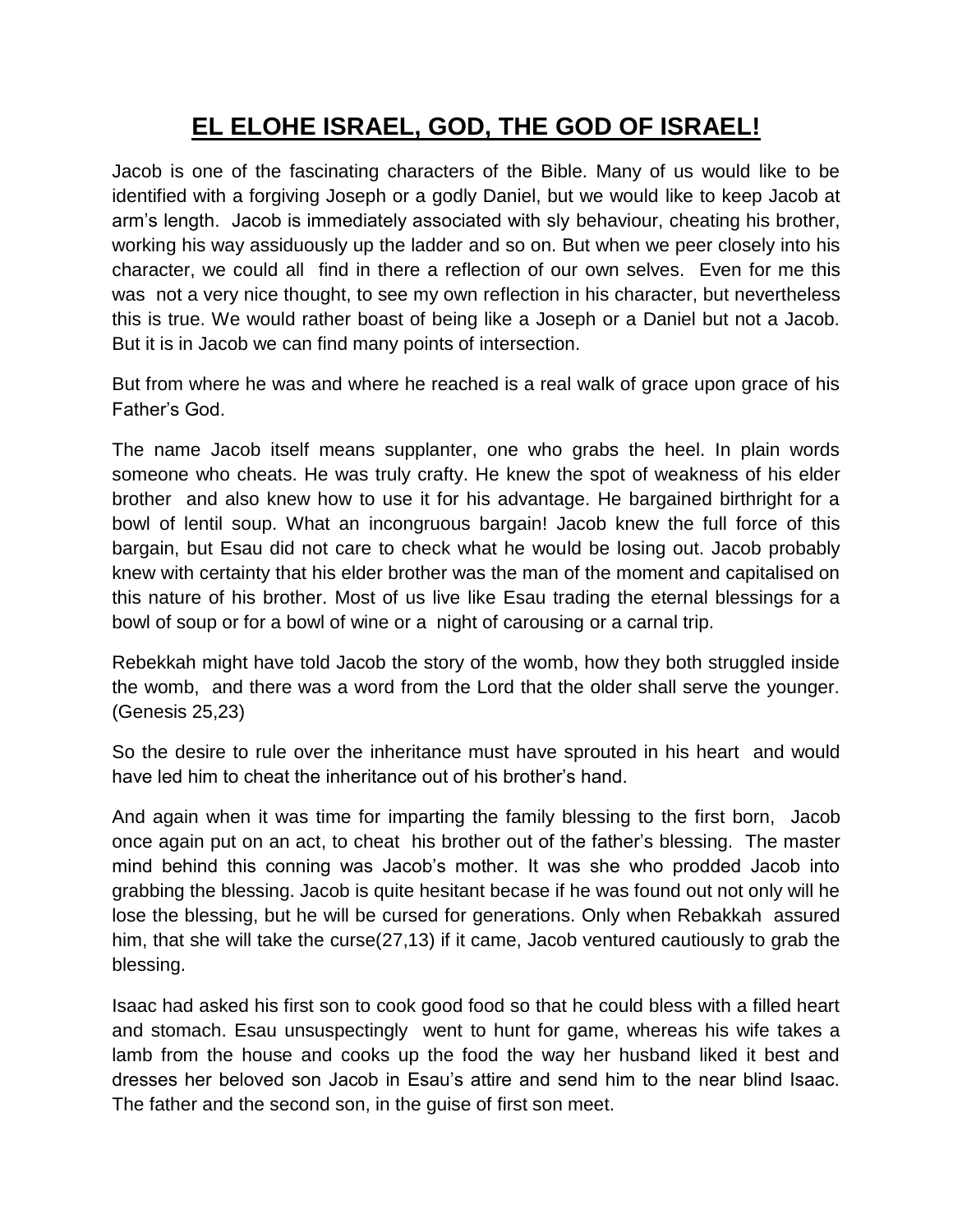## **EL ELOHE ISRAEL, GOD, THE GOD OF ISRAEL!**

Jacob is one of the fascinating characters of the Bible. Many of us would like to be identified with a forgiving Joseph or a godly Daniel, but we would like to keep Jacob at arm"s length. Jacob is immediately associated with sly behaviour, cheating his brother, working his way assiduously up the ladder and so on. But when we peer closely into his character, we could all find in there a reflection of our own selves. Even for me this was not a very nice thought, to see my own reflection in his character, but nevertheless this is true. We would rather boast of being like a Joseph or a Daniel but not a Jacob. But it is in Jacob we can find many points of intersection.

But from where he was and where he reached is a real walk of grace upon grace of his Father"s God.

The name Jacob itself means supplanter, one who grabs the heel. In plain words someone who cheats. He was truly crafty. He knew the spot of weakness of his elder brother and also knew how to use it for his advantage. He bargained birthright for a bowl of lentil soup. What an incongruous bargain! Jacob knew the full force of this bargain, but Esau did not care to check what he would be losing out. Jacob probably knew with certainty that his elder brother was the man of the moment and capitalised on this nature of his brother. Most of us live like Esau trading the eternal blessings for a bowl of soup or for a bowl of wine or a night of carousing or a carnal trip.

Rebekkah might have told Jacob the story of the womb, how they both struggled inside the womb, and there was a word from the Lord that the older shall serve the younger. (Genesis 25,23)

So the desire to rule over the inheritance must have sprouted in his heart and would have led him to cheat the inheritance out of his brother"s hand.

And again when it was time for imparting the family blessing to the first born, Jacob once again put on an act, to cheat his brother out of the father"s blessing. The master mind behind this conning was Jacob"s mother. It was she who prodded Jacob into grabbing the blessing. Jacob is quite hesitant becase if he was found out not only will he lose the blessing, but he will be cursed for generations. Only when Rebakkah assured him, that she will take the curse(27,13) if it came, Jacob ventured cautiously to grab the blessing.

Isaac had asked his first son to cook good food so that he could bless with a filled heart and stomach. Esau unsuspectingly went to hunt for game, whereas his wife takes a lamb from the house and cooks up the food the way her husband liked it best and dresses her beloved son Jacob in Esau"s attire and send him to the near blind Isaac. The father and the second son, in the guise of first son meet.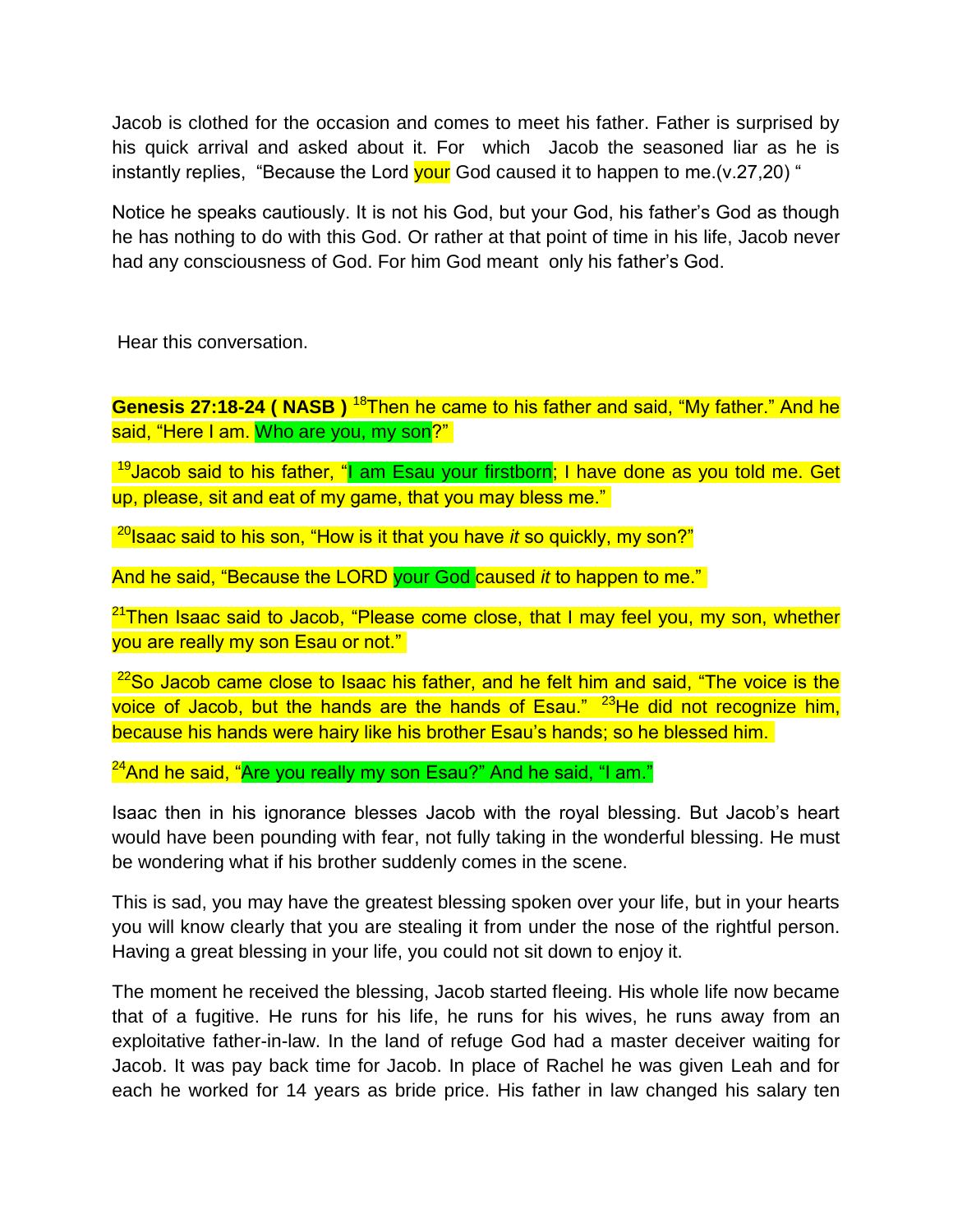Jacob is clothed for the occasion and comes to meet his father. Father is surprised by his quick arrival and asked about it. For which Jacob the seasoned liar as he is instantly replies, "Because the Lord your God caused it to happen to me.  $(v.27,20)$ "

Notice he speaks cautiously. It is not his God, but your God, his father"s God as though he has nothing to do with this God. Or rather at that point of time in his life, Jacob never had any consciousness of God. For him God meant only his father"s God.

Hear this conversation.

**Genesis 27:18-24 ( NASB )** <sup>18</sup>Then he came to his father and said, "My father." And he said, "Here I am. Who are you, my son?"

 $19$ Jacob said to his father, "I am Esau your firstborn; I have done as you told me. Get up, please, sit and eat of my game, that you may bless me."

<sup>20</sup>Isaac said to his son, "How is it that you have *it* so quickly, my son?"

And he said, "Because the LORD your God caused *it* to happen to me."

<sup>21</sup>Then Isaac said to Jacob, "Please come close, that I may feel you, my son, whether you are really my son Esau or not."

 $22$ So Jacob came close to Isaac his father, and he felt him and said, "The voice is the voice of Jacob, but the hands are the hands of Esau."  $23$ He did not recognize him, because his hands were hairy like his brother Esau"s hands; so he blessed him.

 $24$ And he said, "Are you really my son Esau?" And he said, "I am."

Isaac then in his ignorance blesses Jacob with the royal blessing. But Jacob"s heart would have been pounding with fear, not fully taking in the wonderful blessing. He must be wondering what if his brother suddenly comes in the scene.

This is sad, you may have the greatest blessing spoken over your life, but in your hearts you will know clearly that you are stealing it from under the nose of the rightful person. Having a great blessing in your life, you could not sit down to enjoy it.

The moment he received the blessing, Jacob started fleeing. His whole life now became that of a fugitive. He runs for his life, he runs for his wives, he runs away from an exploitative father-in-law. In the land of refuge God had a master deceiver waiting for Jacob. It was pay back time for Jacob. In place of Rachel he was given Leah and for each he worked for 14 years as bride price. His father in law changed his salary ten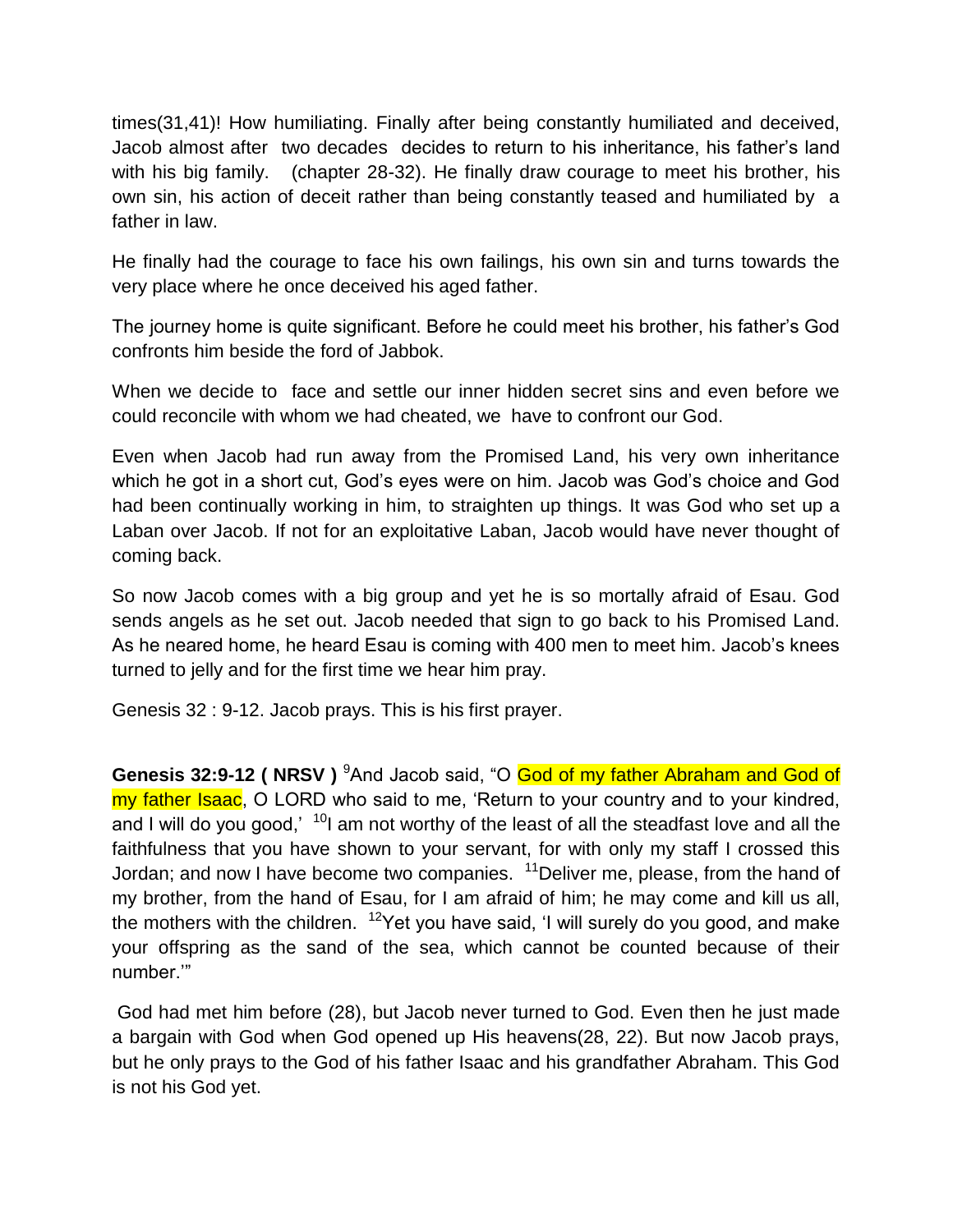times(31,41)! How humiliating. Finally after being constantly humiliated and deceived, Jacob almost after two decades decides to return to his inheritance, his father"s land with his big family. (chapter 28-32). He finally draw courage to meet his brother, his own sin, his action of deceit rather than being constantly teased and humiliated by a father in law.

He finally had the courage to face his own failings, his own sin and turns towards the very place where he once deceived his aged father.

The journey home is quite significant. Before he could meet his brother, his father"s God confronts him beside the ford of Jabbok.

When we decide to face and settle our inner hidden secret sins and even before we could reconcile with whom we had cheated, we have to confront our God.

Even when Jacob had run away from the Promised Land, his very own inheritance which he got in a short cut, God"s eyes were on him. Jacob was God"s choice and God had been continually working in him, to straighten up things. It was God who set up a Laban over Jacob. If not for an exploitative Laban, Jacob would have never thought of coming back.

So now Jacob comes with a big group and yet he is so mortally afraid of Esau. God sends angels as he set out. Jacob needed that sign to go back to his Promised Land. As he neared home, he heard Esau is coming with 400 men to meet him. Jacob"s knees turned to jelly and for the first time we hear him pray.

Genesis 32 : 9-12. Jacob prays. This is his first prayer.

Genesis 32:9-12 ( NRSV ) <sup>9</sup>And Jacob said, "O God of my father Abraham and God of my father Isaac, O LORD who said to me, 'Return to your country and to your kindred, and I will do you good,"  $10<sup>10</sup>$  am not worthy of the least of all the steadfast love and all the faithfulness that you have shown to your servant, for with only my staff I crossed this Jordan; and now I have become two companies.  $11$ Deliver me, please, from the hand of my brother, from the hand of Esau, for I am afraid of him; he may come and kill us all, the mothers with the children.  $12$ Yet you have said, 'I will surely do you good, and make your offspring as the sand of the sea, which cannot be counted because of their number.""

God had met him before (28), but Jacob never turned to God. Even then he just made a bargain with God when God opened up His heavens(28, 22). But now Jacob prays, but he only prays to the God of his father Isaac and his grandfather Abraham. This God is not his God yet.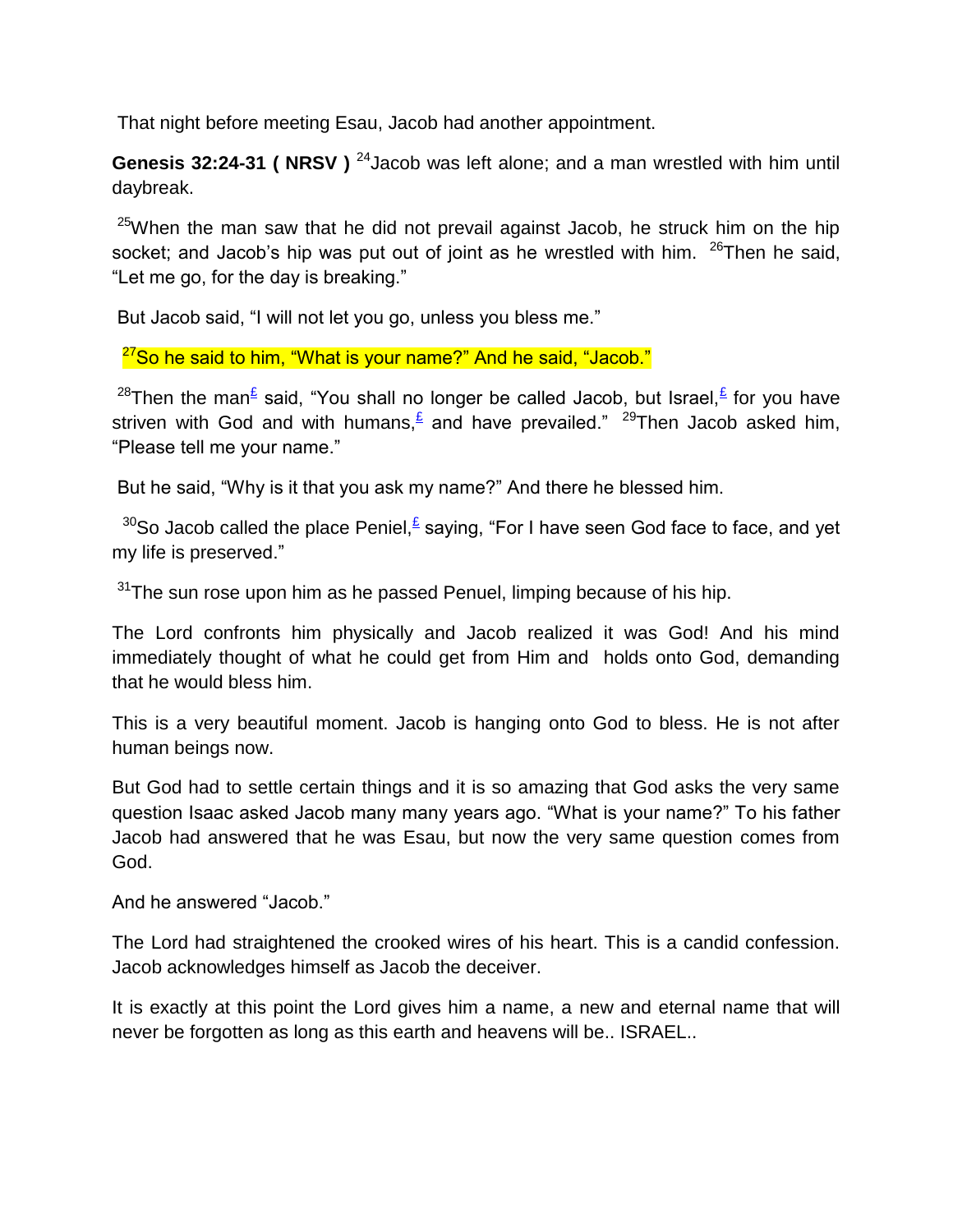That night before meeting Esau, Jacob had another appointment.

**Genesis 32:24-31 ( NRSV )** <sup>24</sup> Jacob was left alone; and a man wrestled with him until daybreak.

<sup>25</sup>When the man saw that he did not prevail against Jacob, he struck him on the hip socket; and Jacob's hip was put out of joint as he wrestled with him.  $26$ Then he said, "Let me go, for the day is breaking."

But Jacob said, "I will not let you go, unless you bless me."

 $27$ So he said to him, "What is your name?" And he said, "Jacob."

<sup>28</sup>Then the man<sup>[£](qv://steplinkto1%200000034985/)</sup> said, "You shall no longer be called Jacob, but Israel, E for you have striven with God and with humans, $\frac{\epsilon}{n}$  and have prevailed." <sup>29</sup>Then Jacob asked him, "Please tell me your name."

But he said, "Why is it that you ask my name?" And there he blessed him.

 $30$ So Jacob called the place Peniel, $\frac{\epsilon}{2}$  saying, "For I have seen God face to face, and yet my life is preserved."

 $31$ The sun rose upon him as he passed Penuel, limping because of his hip.

The Lord confronts him physically and Jacob realized it was God! And his mind immediately thought of what he could get from Him and holds onto God, demanding that he would bless him.

This is a very beautiful moment. Jacob is hanging onto God to bless. He is not after human beings now.

But God had to settle certain things and it is so amazing that God asks the very same question Isaac asked Jacob many many years ago. "What is your name?" To his father Jacob had answered that he was Esau, but now the very same question comes from God.

And he answered "Jacob."

The Lord had straightened the crooked wires of his heart. This is a candid confession. Jacob acknowledges himself as Jacob the deceiver.

It is exactly at this point the Lord gives him a name, a new and eternal name that will never be forgotten as long as this earth and heavens will be.. ISRAEL..